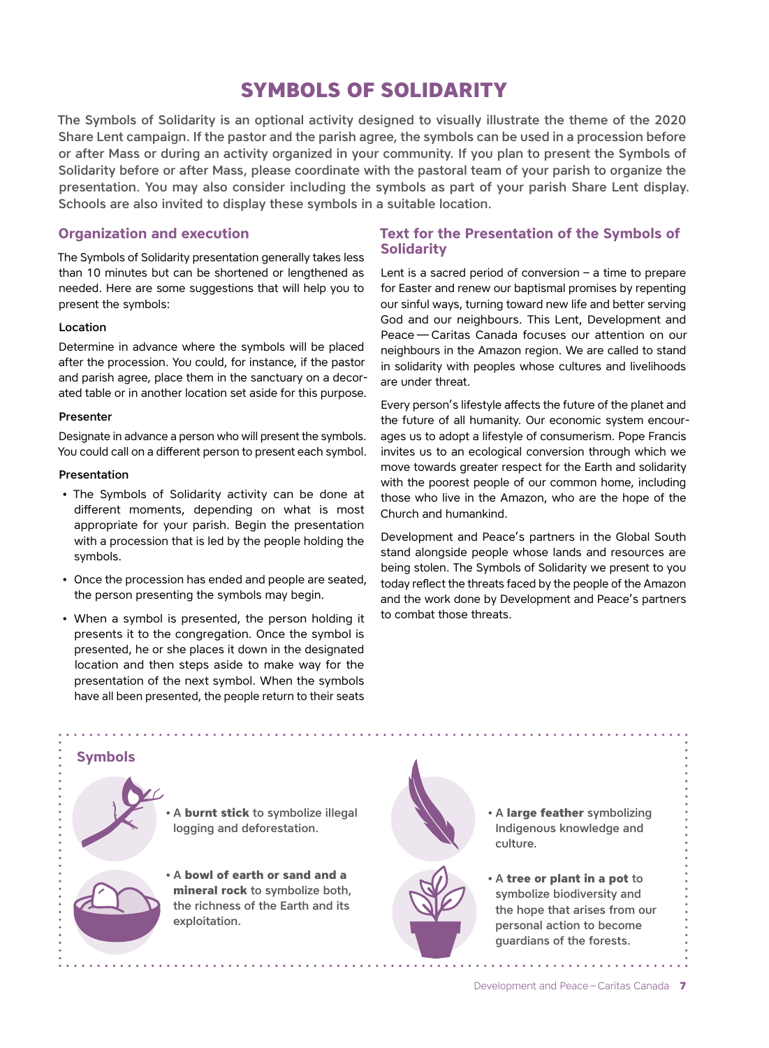# **SYMBOLS OF SOLIDARITY**

The Symbols of Solidarity is an optional activity designed to visually illustrate the theme of the 2020 Share Lent campaign. If the pastor and the parish agree, the symbols can be used in a procession before or after Mass or during an activity organized in your community. If you plan to present the Symbols of Solidarity before or after Mass, please coordinate with the pastoral team of your parish to organize the presentation. You may also consider including the symbols as part of your parish Share Lent display. Schools are also invited to display these symbols in a suitable location.

## **Organization and execution**

The Symbols of Solidarity presentation generally takes less than 10 minutes but can be shortened or lengthened as needed. Here are some suggestions that will help you to present the symbols:

#### Location

Determine in advance where the symbols will be placed after the procession. You could, for instance, if the pastor and parish agree, place them in the sanctuary on a decorated table or in another location set aside for this purpose.

#### Presenter

Designate in advance a person who will present the symbols. You could call on a different person to present each symbol.

#### Presentation

- The Symbols of Solidarity activity can be done at different moments, depending on what is most appropriate for your parish. Begin the presentation with a procession that is led by the people holding the symbols.
- Once the procession has ended and people are seated, the person presenting the symbols may begin.
- When a symbol is presented, the person holding it presents it to the congregation. Once the symbol is presented, he or she places it down in the designated location and then steps aside to make way for the presentation of the next symbol. When the symbols have all been presented, the people return to their seats

## **Text for the Presentation of the Symbols of Solidarity**

Lent is a sacred period of conversion – a time to prepare for Easter and renew our baptismal promises by repenting our sinful ways, turning toward new life and better serving God and our neighbours. This Lent, Development and Peace — Caritas Canada focuses our attention on our neighbours in the Amazon region. We are called to stand in solidarity with peoples whose cultures and livelihoods are under threat.

Every person's lifestyle affects the future of the planet and the future of all humanity. Our economic system encourages us to adopt a lifestyle of consumerism. Pope Francis invites us to an ecological conversion through which we move towards greater respect for the Earth and solidarity with the poorest people of our common home, including those who live in the Amazon, who are the hope of the Church and humankind.

Development and Peace's partners in the Global South stand alongside people whose lands and resources are being stolen. The Symbols of Solidarity we present to you today reflect the threats faced by the people of the Amazon and the work done by Development and Peace's partners to combat those threats.



Development and Peace – Caritas Canada **7**